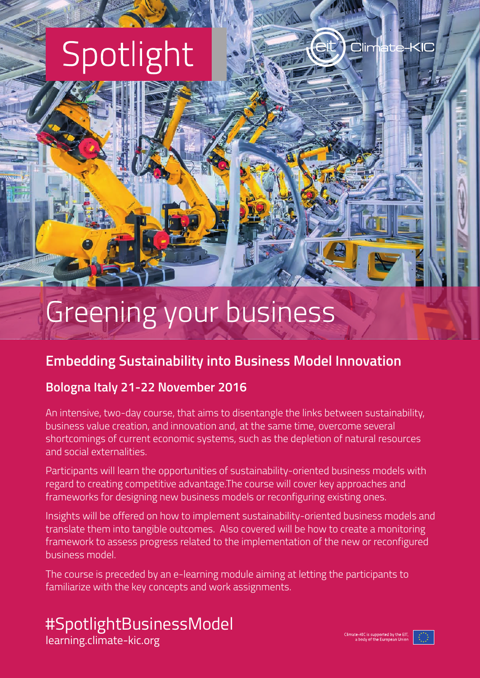# Spotlight

Greening your business

### **Embedding Sustainability into Business Model Innovation**

#### **Bologna Italy 21-22 November 2016**

An intensive, two-day course, that aims to disentangle the links between sustainability, business value creation, and innovation and, at the same time, overcome several shortcomings of current economic systems, such as the depletion of natural resources and social externalities.

Participants will learn the opportunities of sustainability-oriented business models with regard to creating competitive advantage.The course will cover key approaches and frameworks for designing new business models or reconfiguring existing ones.

Insights will be offered on how to implement sustainability-oriented business models and translate them into tangible outcomes. Also covered will be how to create a monitoring framework to assess progress related to the implementation of the new or reconfigured business model.

The course is preceded by an e-learning module aiming at letting the participants to familiarize with the key concepts and work assignments.

# #SpotlightBusinessModel

[learning.climate-kic.org](http://learning.climate-kic.org/)

**Climate**